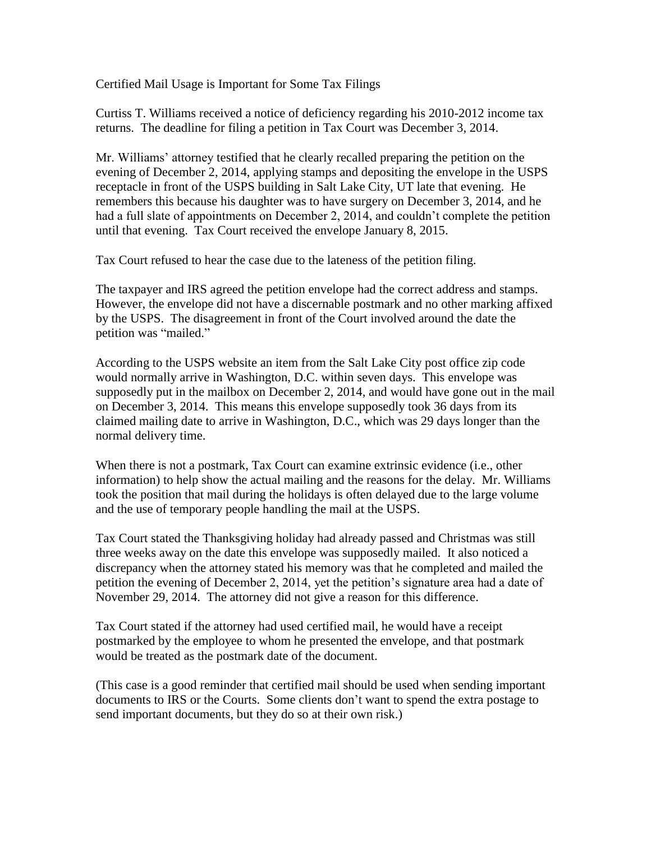Certified Mail Usage is Important for Some Tax Filings

Curtiss T. Williams received a notice of deficiency regarding his 2010-2012 income tax returns. The deadline for filing a petition in Tax Court was December 3, 2014.

Mr. Williams' attorney testified that he clearly recalled preparing the petition on the evening of December 2, 2014, applying stamps and depositing the envelope in the USPS receptacle in front of the USPS building in Salt Lake City, UT late that evening. He remembers this because his daughter was to have surgery on December 3, 2014, and he had a full slate of appointments on December 2, 2014, and couldn't complete the petition until that evening. Tax Court received the envelope January 8, 2015.

Tax Court refused to hear the case due to the lateness of the petition filing.

The taxpayer and IRS agreed the petition envelope had the correct address and stamps. However, the envelope did not have a discernable postmark and no other marking affixed by the USPS. The disagreement in front of the Court involved around the date the petition was "mailed."

According to the USPS website an item from the Salt Lake City post office zip code would normally arrive in Washington, D.C. within seven days. This envelope was supposedly put in the mailbox on December 2, 2014, and would have gone out in the mail on December 3, 2014. This means this envelope supposedly took 36 days from its claimed mailing date to arrive in Washington, D.C., which was 29 days longer than the normal delivery time.

When there is not a postmark, Tax Court can examine extrinsic evidence (i.e., other information) to help show the actual mailing and the reasons for the delay. Mr. Williams took the position that mail during the holidays is often delayed due to the large volume and the use of temporary people handling the mail at the USPS.

Tax Court stated the Thanksgiving holiday had already passed and Christmas was still three weeks away on the date this envelope was supposedly mailed. It also noticed a discrepancy when the attorney stated his memory was that he completed and mailed the petition the evening of December 2, 2014, yet the petition's signature area had a date of November 29, 2014. The attorney did not give a reason for this difference.

Tax Court stated if the attorney had used certified mail, he would have a receipt postmarked by the employee to whom he presented the envelope, and that postmark would be treated as the postmark date of the document.

(This case is a good reminder that certified mail should be used when sending important documents to IRS or the Courts. Some clients don't want to spend the extra postage to send important documents, but they do so at their own risk.)